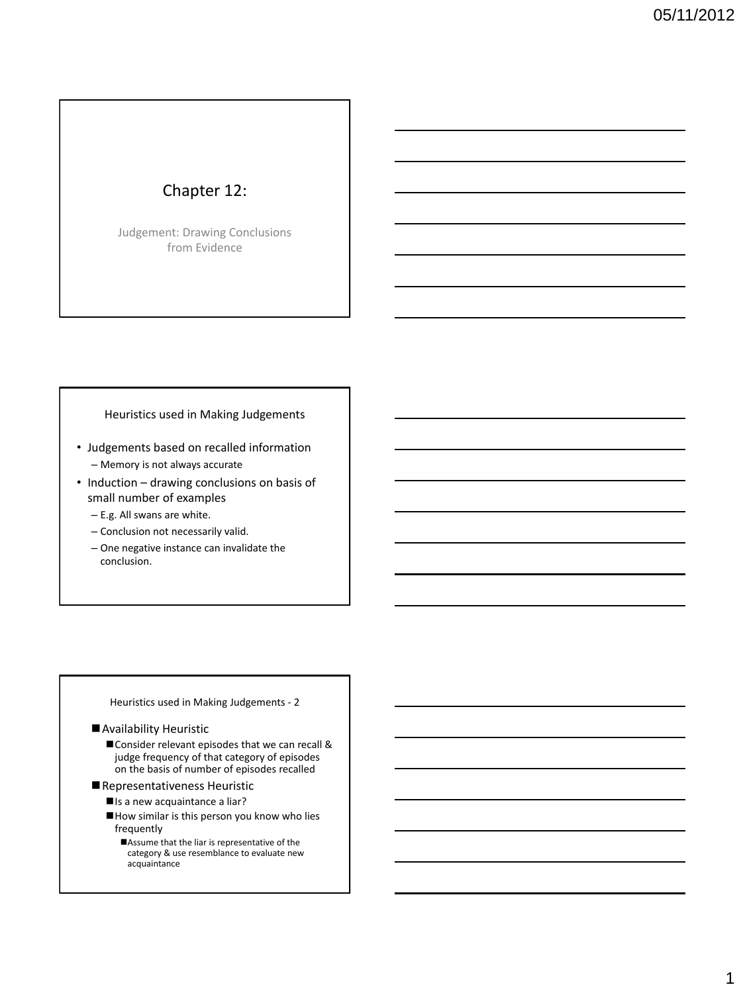## Chapter 12:

Judgement: Drawing Conclusions from Evidence

#### Heuristics used in Making Judgements

- Judgements based on recalled information – Memory is not always accurate
- Induction drawing conclusions on basis of small number of examples
	- E.g. All swans are white.
	- Conclusion not necessarily valid.
	- One negative instance can invalidate the conclusion.

#### Heuristics used in Making Judgements - 2

#### Availability Heuristic

- Consider relevant episodes that we can recall & judge frequency of that category of episodes on the basis of number of episodes recalled
- Representativeness Heuristic
	- Is a new acquaintance a liar?
	- How similar is this person you know who lies frequently
		- Assume that the liar is representative of the category & use resemblance to evaluate new acquaintance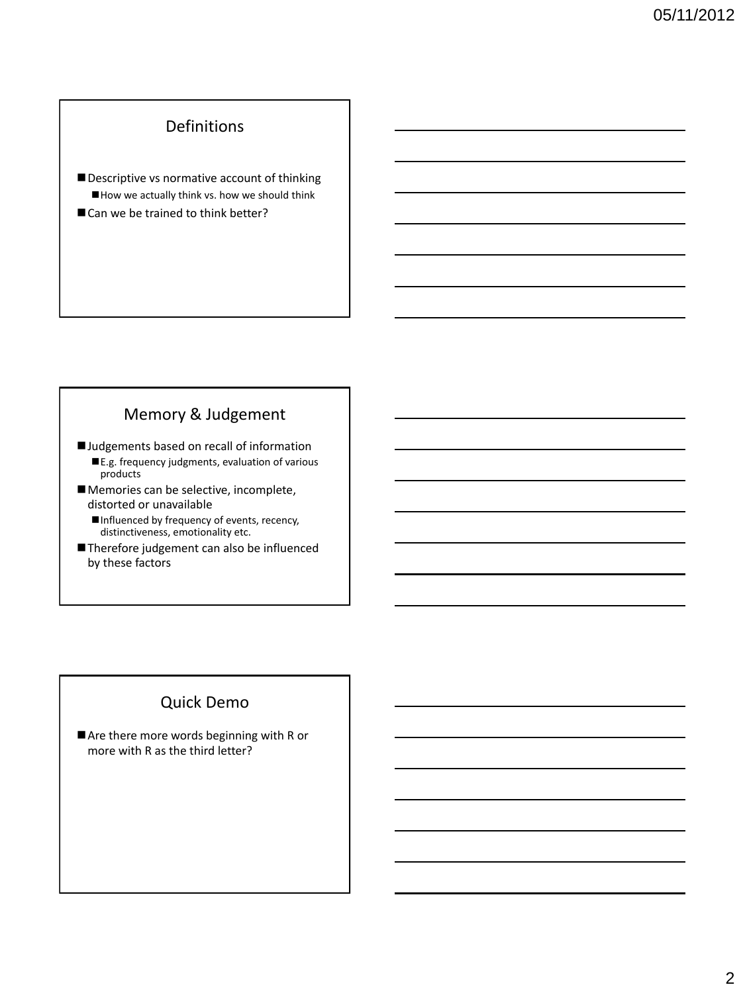# Definitions

Descriptive vs normative account of thinking How we actually think vs. how we should think Can we be trained to think better?

## Memory & Judgement

**I** Judgements based on recall of information

- ■E.g. frequency judgments, evaluation of various products
- **Memories can be selective, incomplete,** distorted or unavailable
	- Influenced by frequency of events, recency, distinctiveness, emotionality etc.
- Therefore judgement can also be influenced by these factors

### Quick Demo

Are there more words beginning with R or more with R as the third letter?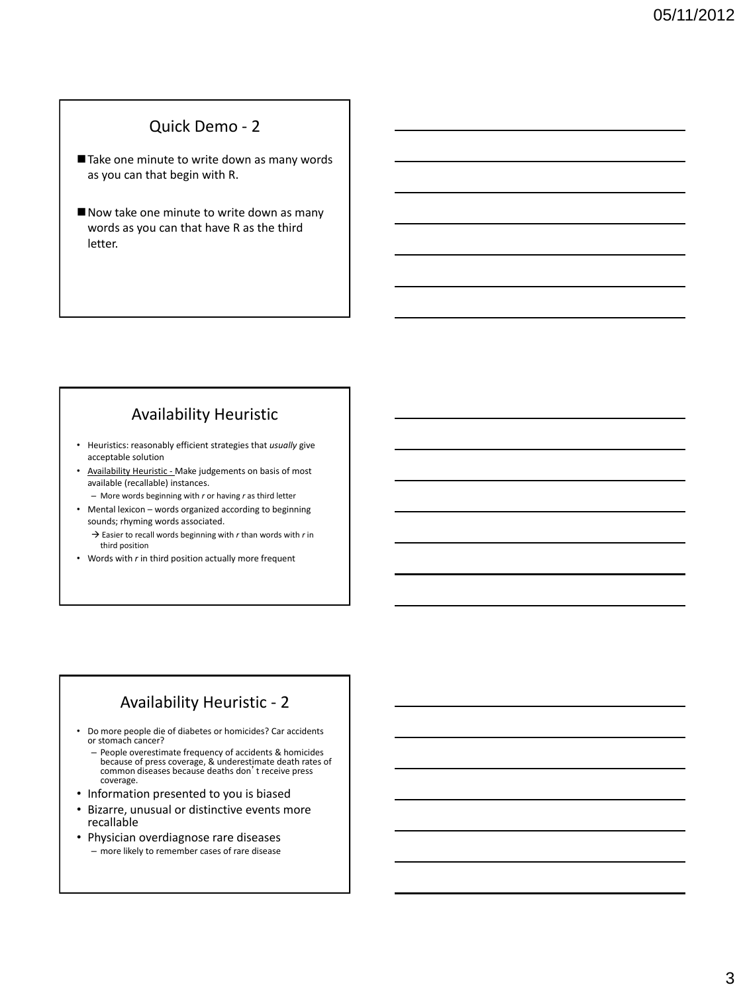#### Quick Demo - 2

- Take one minute to write down as many words as you can that begin with R.
- Now take one minute to write down as many words as you can that have R as the third letter.

## Availability Heuristic

- Heuristics: reasonably efficient strategies that *usually* give acceptable solution
- Availability Heuristic Make judgements on basis of most available (recallable) instances.
	- More words beginning with *r* or having *r* as third letter
- Mental lexicon words organized according to beginning sounds; rhyming words associated.
	- → Easier to recall words beginning with *r* than words with *r* in third position
- Words with *r* in third position actually more frequent

### Availability Heuristic - 2

- Do more people die of diabetes or homicides? Car accidents or stomach cancer?
	- People overestimate frequency of accidents & homicides because of press coverage, & underestimate death rates of common diseases because deaths don't receive press coverage.
- Information presented to you is biased
- Bizarre, unusual or distinctive events more recallable
- Physician overdiagnose rare diseases – more likely to remember cases of rare disease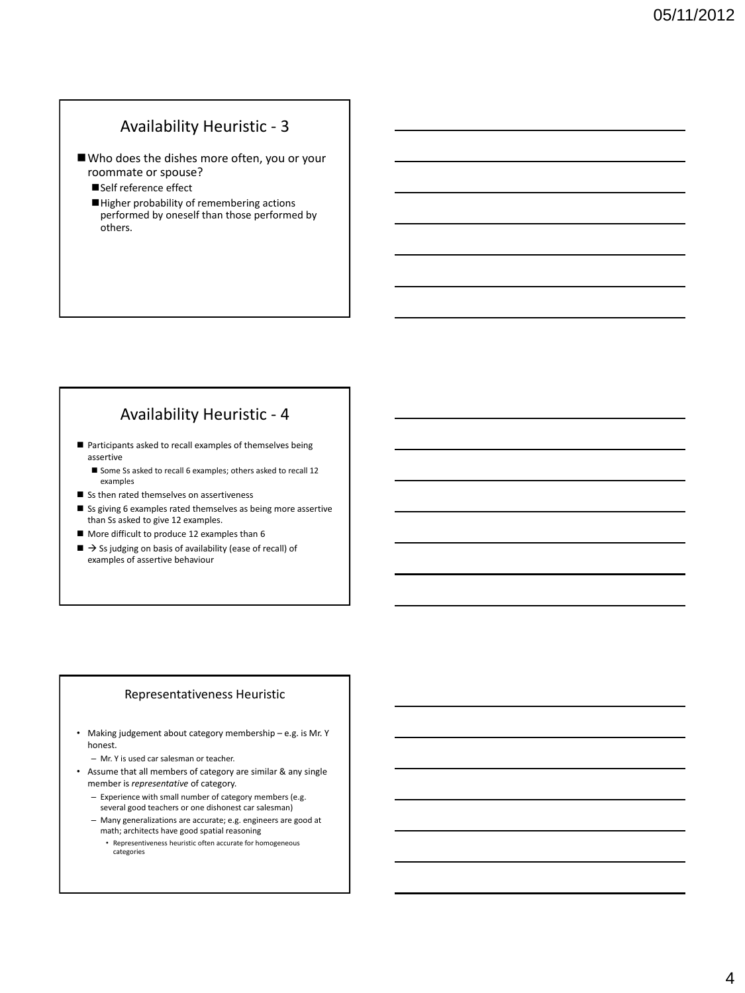# Availability Heuristic - 3

- Who does the dishes more often, you or your roommate or spouse?
	- Self reference effect
	- Higher probability of remembering actions performed by oneself than those performed by others.

## Availability Heuristic - 4

- Participants asked to recall examples of themselves being assertive
	- Some Ss asked to recall 6 examples; others asked to recall 12 examples
- Ss then rated themselves on assertiveness
- Ss giving 6 examples rated themselves as being more assertive than Ss asked to give 12 examples.
- More difficult to produce 12 examples than 6
- $\blacksquare \rightarrow$  Ss judging on basis of availability (ease of recall) of examples of assertive behaviour

#### Representativeness Heuristic

- Making judgement about category membership e.g. is Mr. Y honest.
	- Mr. Y is used car salesman or teacher.
- Assume that all members of category are similar & any single member is *representative* of category.
	- Experience with small number of category members (e.g. several good teachers or one dishonest car salesman)
	- Many generalizations are accurate; e.g. engineers are good at math; architects have good spatial reasoning
		- Representiveness heuristic often accurate for homogeneous categories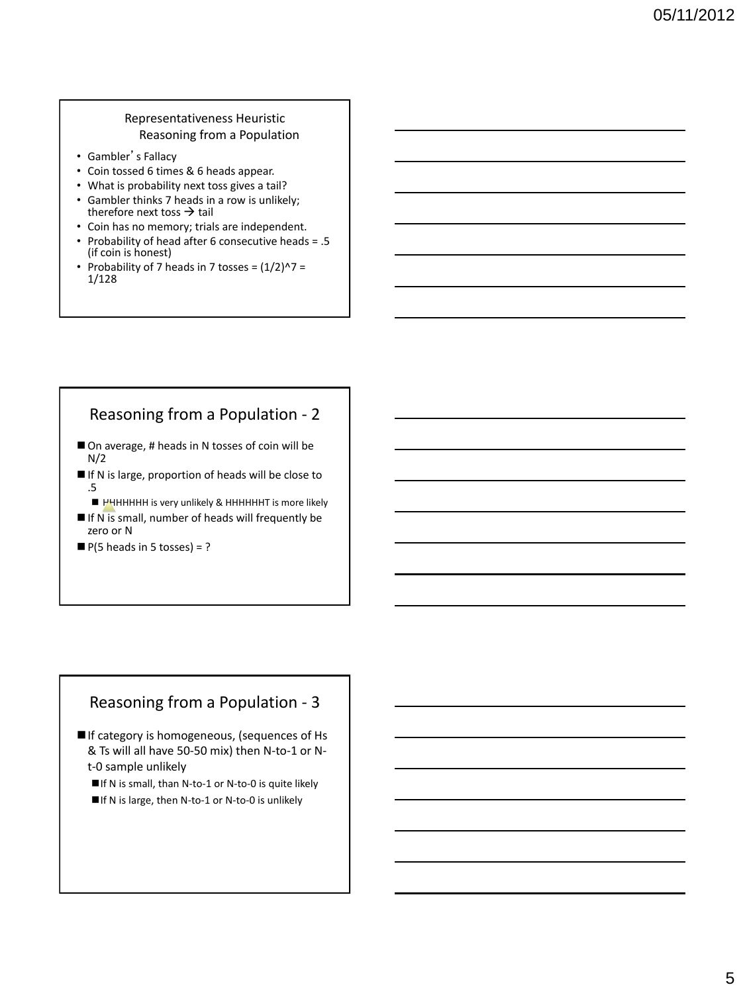#### Representativeness Heuristic Reasoning from a Population

- Gambler's Fallacy
- Coin tossed 6 times & 6 heads appear.
- What is probability next toss gives a tail?
- Gambler thinks 7 heads in a row is unlikely; therefore next toss  $\rightarrow$  tail
- Coin has no memory; trials are independent.
- Probability of head after 6 consecutive heads = .5 (if coin is honest)
- Probability of 7 heads in 7 tosses =  $(1/2)^{2}$  = 1/128

# Reasoning from a Population - 2

- On average, # heads in N tosses of coin will be  $N/2$
- If N is large, proportion of heads will be close to .5
	- HHHHHHHH is very unlikely & HHHHHHT is more likely
- $\blacksquare$  If N is small, number of heads will frequently be zero or N
- $\blacksquare$  P(5 heads in 5 tosses) = ?

#### Reasoning from a Population - 3

- If category is homogeneous, (sequences of Hs & Ts will all have 50-50 mix) then N-to-1 or Nt-0 sample unlikely
	- ■If N is small, than N-to-1 or N-to-0 is quite likely
	- ■If N is large, then N-to-1 or N-to-0 is unlikely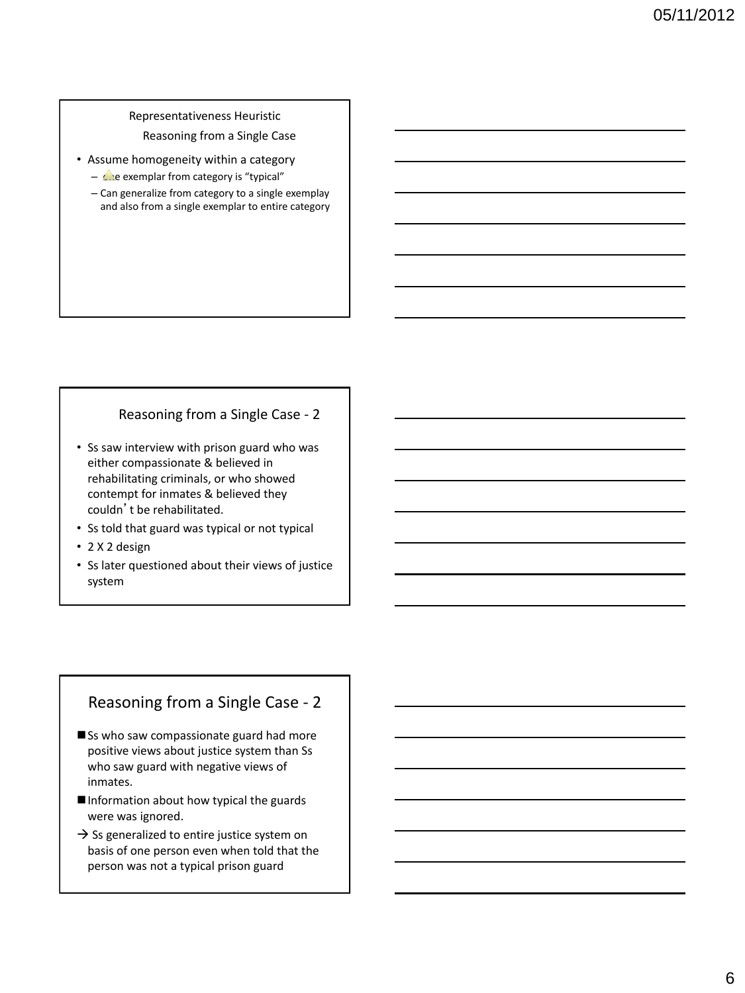#### Representativeness Heuristic Reasoning from a Single Case

- Assume homogeneity within a category
	- $\triangle$ e exemplar from category is "typical"
	- Can generalize from category to a single exemplay and also from a single exemplar to entire category

#### Reasoning from a Single Case - 2

- Ss saw interview with prison guard who was either compassionate & believed in rehabilitating criminals, or who showed contempt for inmates & believed they couldn't be rehabilitated.
- Ss told that guard was typical or not typical
- 2 X 2 design
- Ss later questioned about their views of justice system

## Reasoning from a Single Case - 2

- Ss who saw compassionate guard had more positive views about justice system than Ss who saw guard with negative views of inmates.
- Information about how typical the guards were was ignored.
- $\rightarrow$  Ss generalized to entire justice system on basis of one person even when told that the person was not a typical prison guard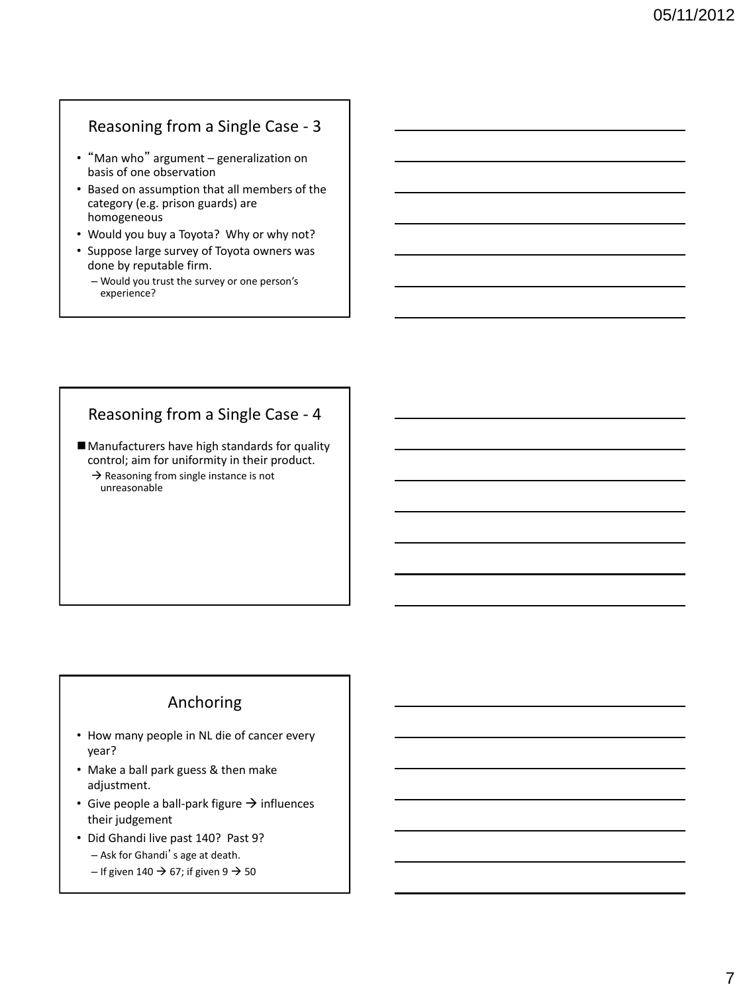## Reasoning from a Single Case - 3

- "Man who" argument generalization on basis of one observation
- Based on assumption that all members of the category (e.g. prison guards) are homogeneous
- Would you buy a Toyota? Why or why not?
- Suppose large survey of Toyota owners was done by reputable firm.
	- Would you trust the survey or one person's experience?

## Reasoning from a Single Case - 4

■ Manufacturers have high standards for quality control; aim for uniformity in their product.

 $\rightarrow$  Reasoning from single instance is not unreasonable

## Anchoring

- How many people in NL die of cancer every year?
- Make a ball park guess & then make adjustment.
- Give people a ball-park figure  $\rightarrow$  influences their judgement
- Did Ghandi live past 140? Past 9?
	- Ask for Ghandi's age at death.
	- If given 140  $\rightarrow$  67; if given 9  $\rightarrow$  50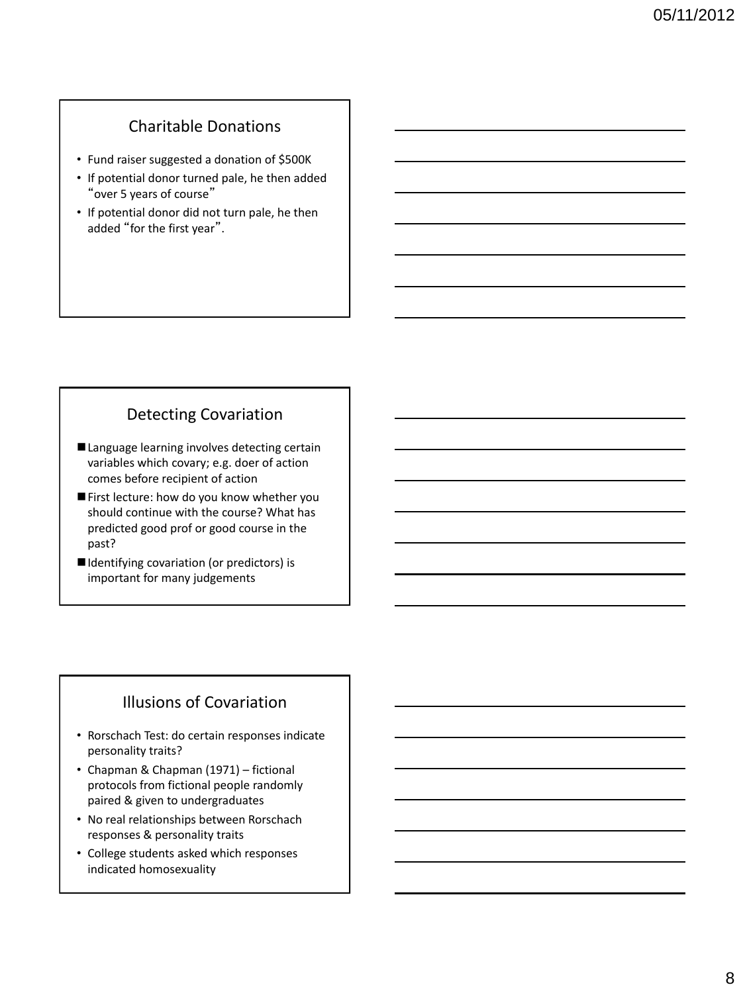## Charitable Donations

- Fund raiser suggested a donation of \$500K
- If potential donor turned pale, he then added "over 5 years of course"
- If potential donor did not turn pale, he then added "for the first year".

## Detecting Covariation

- Language learning involves detecting certain variables which covary; e.g. doer of action comes before recipient of action
- First lecture: how do you know whether you should continue with the course? What has predicted good prof or good course in the past?
- Identifying covariation (or predictors) is important for many judgements

# Illusions of Covariation

- Rorschach Test: do certain responses indicate personality traits?
- Chapman & Chapman (1971) fictional protocols from fictional people randomly paired & given to undergraduates
- No real relationships between Rorschach responses & personality traits
- College students asked which responses indicated homosexuality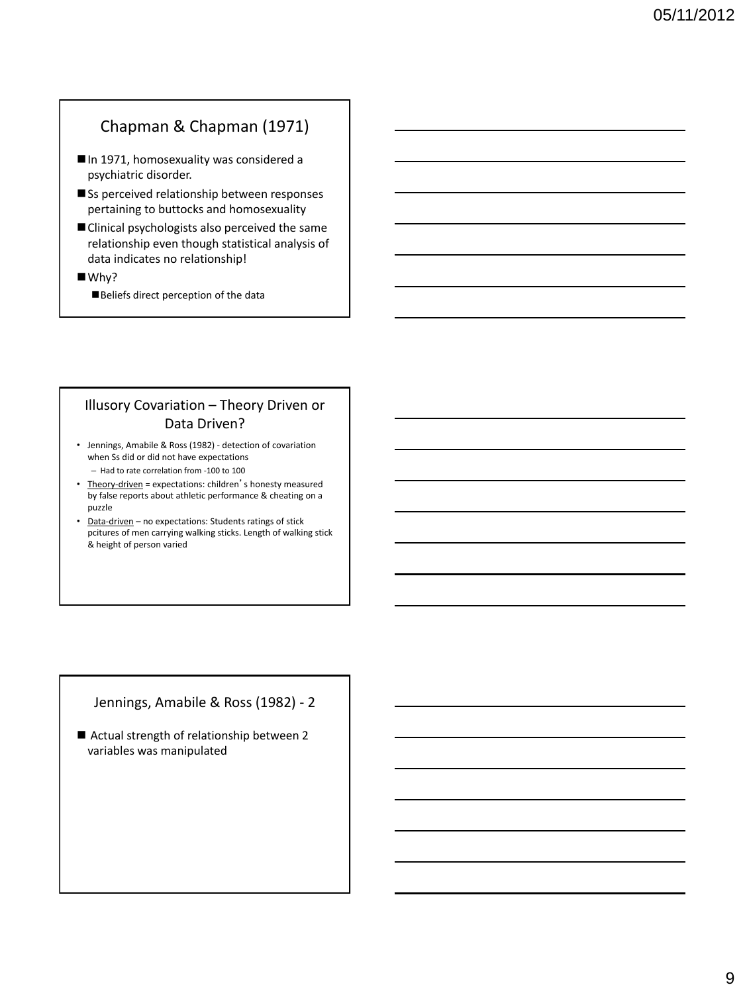## Chapman & Chapman (1971)

- In 1971, homosexuality was considered a psychiatric disorder.
- Ss perceived relationship between responses pertaining to buttocks and homosexuality
- Clinical psychologists also perceived the same relationship even though statistical analysis of data indicates no relationship!

■Why?

Beliefs direct perception of the data

#### Illusory Covariation – Theory Driven or Data Driven?

- Jennings, Amabile & Ross (1982) detection of covariation when Ss did or did not have expectations
- Had to rate correlation from -100 to 100 • Theory-driven = expectations: children's honesty measured by false reports about athletic performance & cheating on a puzzle
- Data-driven no expectations: Students ratings of stick pcitures of men carrying walking sticks. Length of walking stick & height of person varied

#### Jennings, Amabile & Ross (1982) - 2

■ Actual strength of relationship between 2 variables was manipulated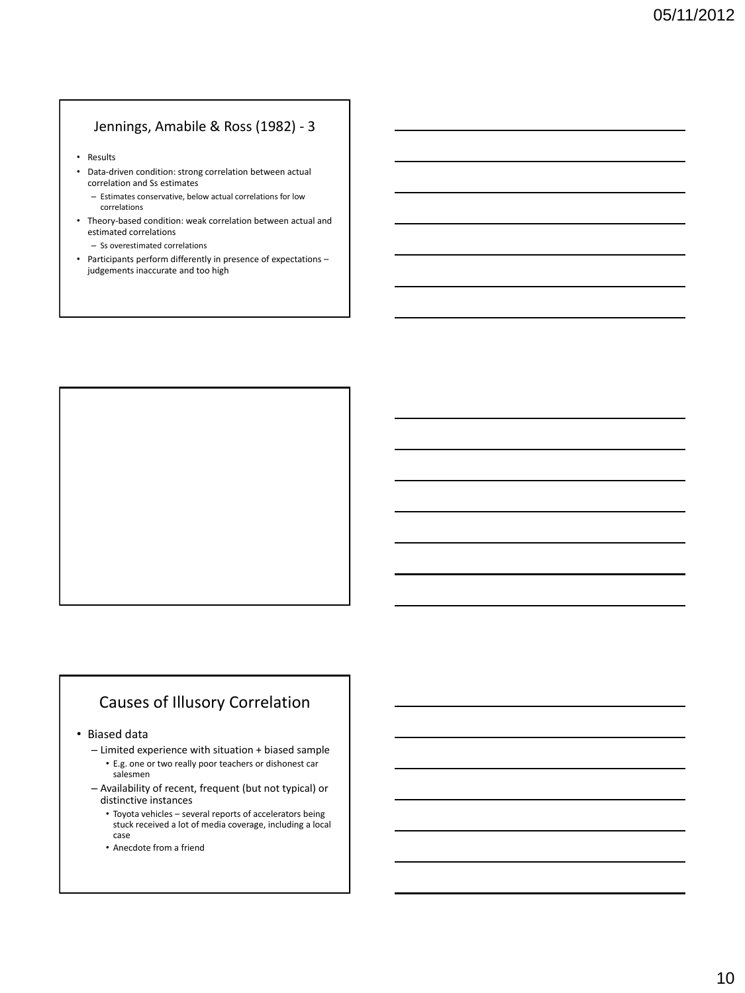#### Jennings, Amabile & Ross (1982) - 3

- Results
- Data-driven condition: strong correlation between actual correlation and Ss estimates
	- Estimates conservative, below actual correlations for low correlations
- Theory-based condition: weak correlation between actual and estimated correlations
	- Ss overestimated correlations
- Participants perform differently in presence of expectations judgements inaccurate and too high



# Causes of Illusory Correlation

• Biased data

- Limited experience with situation + biased sample • E.g. one or two really poor teachers or dishonest car
	- salesmen
- Availability of recent, frequent (but not typical) or distinctive instances
	- Toyota vehicles several reports of accelerators being stuck received a lot of media coverage, including a local case
	- Anecdote from a friend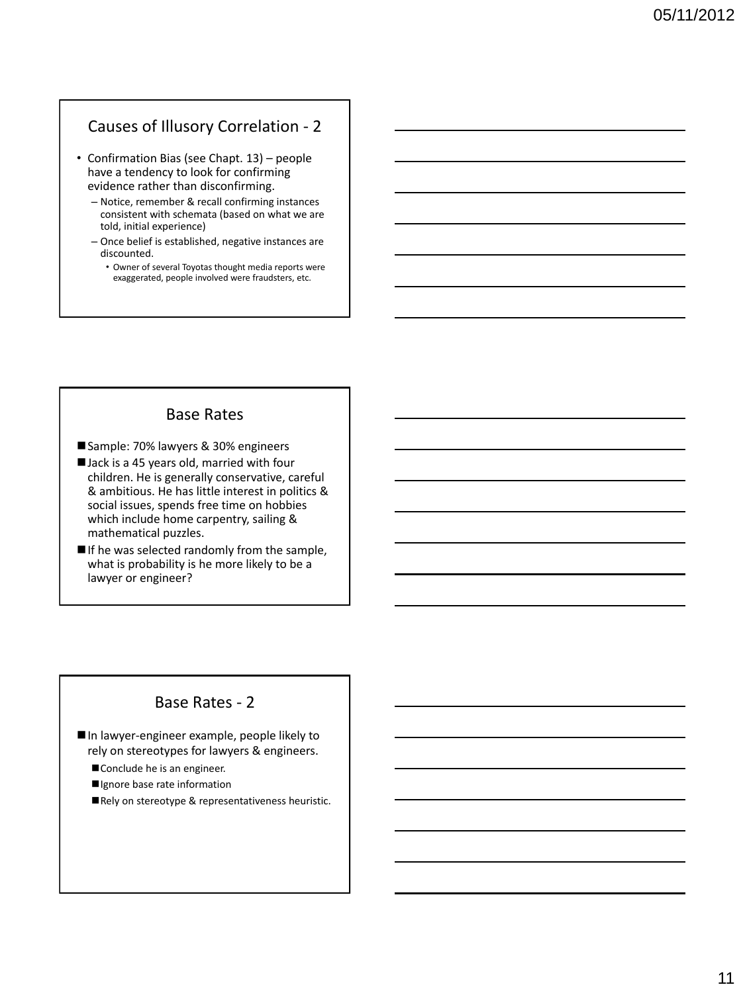#### Causes of Illusory Correlation - 2

- Confirmation Bias (see Chapt. 13) people have a tendency to look for confirming evidence rather than disconfirming.
	- Notice, remember & recall confirming instances consistent with schemata (based on what we are told, initial experience)
	- Once belief is established, negative instances are discounted.
		- Owner of several Toyotas thought media reports were exaggerated, people involved were fraudsters, etc.

#### Base Rates

- Sample: 70% lawyers & 30% engineers
- I Jack is a 45 years old, married with four children. He is generally conservative, careful & ambitious. He has little interest in politics & social issues, spends free time on hobbies which include home carpentry, sailing & mathematical puzzles.
- $\blacksquare$  If he was selected randomly from the sample, what is probability is he more likely to be a lawyer or engineer?

#### Base Rates - 2

In lawyer-engineer example, people likely to rely on stereotypes for lawyers & engineers.

- Conclude he is an engineer.
- Ignore base rate information
- Rely on stereotype & representativeness heuristic.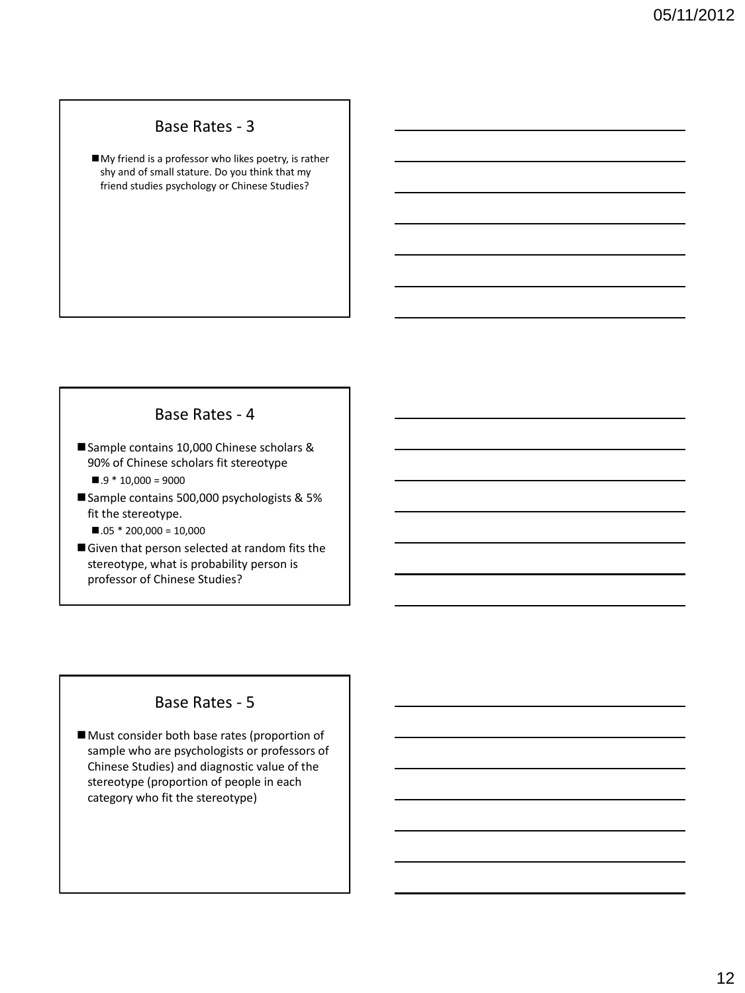#### Base Rates - 3

My friend is a professor who likes poetry, is rather shy and of small stature. Do you think that my friend studies psychology or Chinese Studies?

#### Base Rates - 4

- Sample contains 10,000 Chinese scholars & 90% of Chinese scholars fit stereotype
	- $.9 * 10,000 = 9000$
- Sample contains 500,000 psychologists & 5% fit the stereotype.
	- $.05 * 200,000 = 10,000$
- Given that person selected at random fits the stereotype, what is probability person is professor of Chinese Studies?

#### Base Rates - 5

Must consider both base rates (proportion of sample who are psychologists or professors of Chinese Studies) and diagnostic value of the stereotype (proportion of people in each category who fit the stereotype)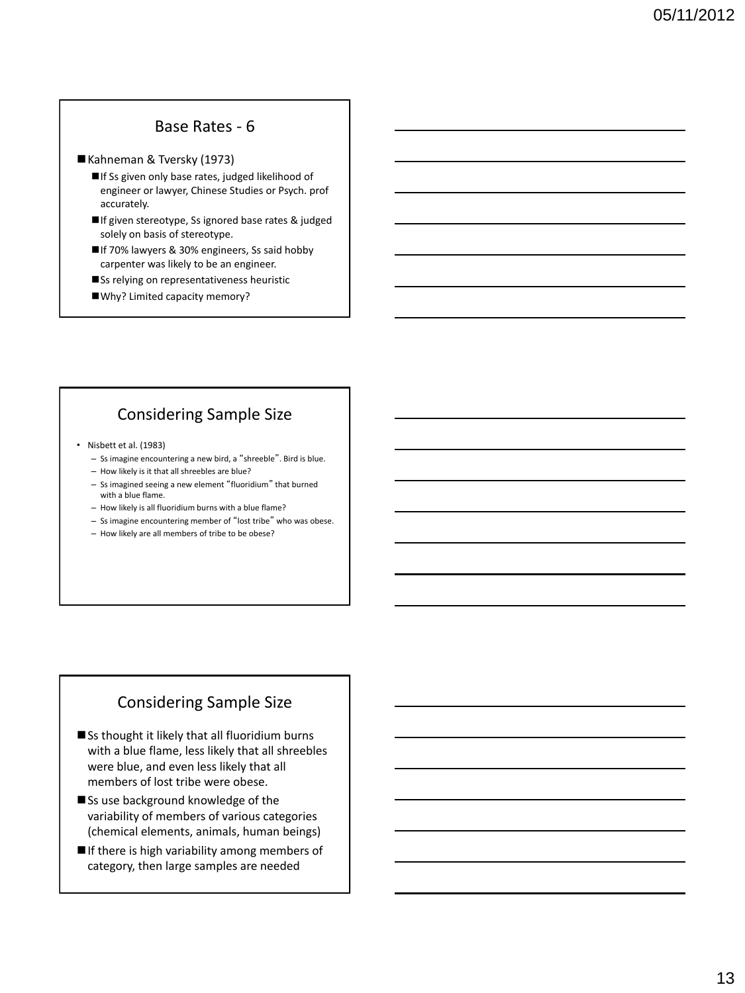#### Base Rates - 6

#### Kahneman & Tversky (1973)

- If Ss given only base rates, judged likelihood of engineer or lawyer, Chinese Studies or Psych. prof accurately.
- ■If given stereotype, Ss ignored base rates & judged solely on basis of stereotype.
- ■If 70% lawyers & 30% engineers, Ss said hobby carpenter was likely to be an engineer.
- Ss relying on representativeness heuristic
- Why? Limited capacity memory?

#### Considering Sample Size

- Nisbett et al. (1983)
	- Ss imagine encountering a new bird, a "shreeble". Bird is blue.
	- How likely is it that all shreebles are blue?
	- Ss imagined seeing a new element "fluoridium" that burned with a blue flame.
	- How likely is all fluoridium burns with a blue flame?
	- Ss imagine encountering member of "lost tribe" who was obese.
	- How likely are all members of tribe to be obese?

# Considering Sample Size

- Ss thought it likely that all fluoridium burns with a blue flame, less likely that all shreebles were blue, and even less likely that all members of lost tribe were obese.
- Ss use background knowledge of the variability of members of various categories (chemical elements, animals, human beings)
- If there is high variability among members of category, then large samples are needed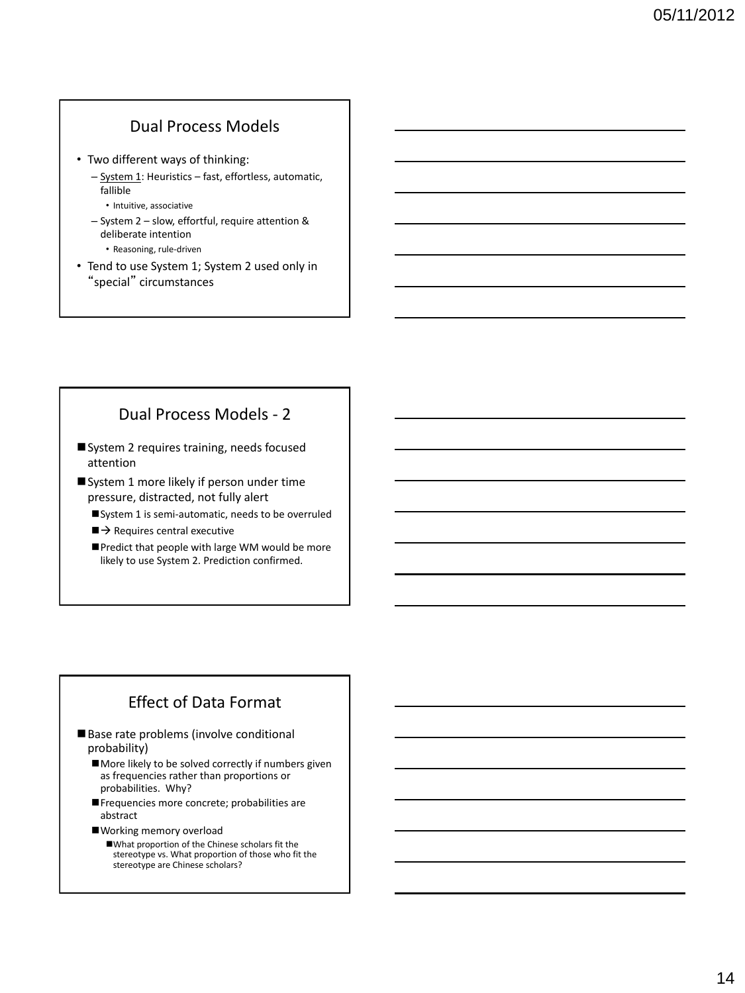## Dual Process Models

- Two different ways of thinking:
	- System 1: Heuristics fast, effortless, automatic, fallible
		- Intuitive, associative
	- System 2 slow, effortful, require attention & deliberate intention • Reasoning, rule-driven
- Tend to use System 1; System 2 used only in "special" circumstances

## Dual Process Models - 2

- System 2 requires training, needs focused attention
- System 1 more likely if person under time pressure, distracted, not fully alert
	- System 1 is semi-automatic, needs to be overruled
	- $\blacktriangleright$  Requires central executive
	- Predict that people with large WM would be more likely to use System 2. Prediction confirmed.

## Effect of Data Format

- Base rate problems (involve conditional probability)
	- More likely to be solved correctly if numbers given as frequencies rather than proportions or probabilities. Why?
	- Frequencies more concrete; probabilities are abstract
	- Working memory overload
		- What proportion of the Chinese scholars fit the stereotype vs. What proportion of those who fit the stereotype are Chinese scholars?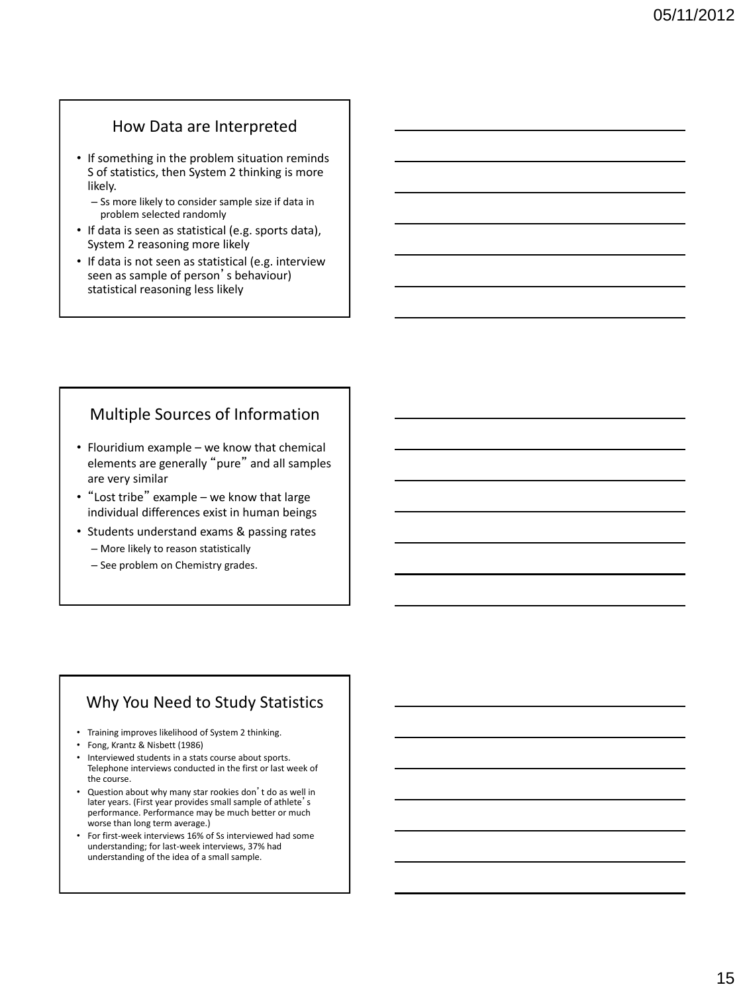#### How Data are Interpreted

- If something in the problem situation reminds S of statistics, then System 2 thinking is more likely.
	- Ss more likely to consider sample size if data in problem selected randomly
- If data is seen as statistical (e.g. sports data), System 2 reasoning more likely
- If data is not seen as statistical (e.g. interview seen as sample of person's behaviour) statistical reasoning less likely

## Multiple Sources of Information

- Flouridium example we know that chemical elements are generally "pure" and all samples are very similar
- "Lost tribe" example we know that large individual differences exist in human beings
- Students understand exams & passing rates
	- More likely to reason statistically
	- See problem on Chemistry grades.

#### Why You Need to Study Statistics

- Training improves likelihood of System 2 thinking.
- Fong, Krantz & Nisbett (1986)
- Interviewed students in a stats course about sports. Telephone interviews conducted in the first or last week of the course.
- Question about why many star rookies don't do as well in later years. (First year provides small sample of athlete's performance. Performance may be much better or much worse than long term average.)
- For first-week interviews 16% of Ss interviewed had some understanding; for last-week interviews, 37% had understanding of the idea of a small sample.